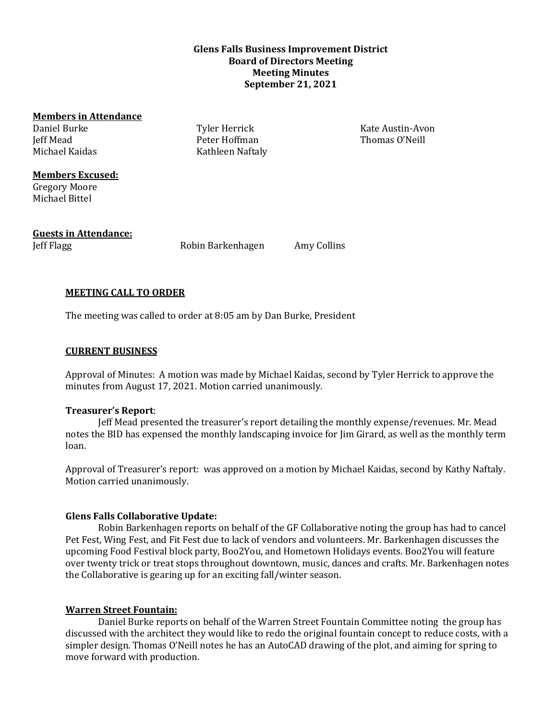## **Glens Falls Business Improvement District Board of Directors Meeting Meeting Minutes September 21, 2021**

#### **Members in Attendance**

Daniel Burke Jeff Mead Michael Kaidas

Tyler Herrick Peter Hoffman Kathleen Naftaly Kate Austin-Avon Thomas O'Neill

# **Members Excused:**

Gregory Moore Michael Bittel

# **Guests in Attendance:**

Jeff Flagg Robin Barkenhagen Amy Collins

# **MEETING CALL TO ORDER**

The meeting was called to order at 8:05 am by Dan Burke, President

## **CURRENT BUSINESS**

Approval of Minutes: A motion was made by Michael Kaidas, second by Tyler Herrick to approve the minutes from August 17, 2021. Motion carried unanimously.

### **Treasurer's Report**:

Jeff Mead presented the treasurer's report detailing the monthly expense/revenues. Mr. Mead notes the BID has expensed the monthly landscaping invoice for Jim Girard, as well as the monthly term loan.

Approval of Treasurer's report: was approved on a motion by Michael Kaidas, second by Kathy Naftaly. Motion carried unanimously.

### **Glens Falls Collaborative Update:**

Robin Barkenhagen reports on behalf of the GF Collaborative noting the group has had to cancel Pet Fest, Wing Fest, and Fit Fest due to lack of vendors and volunteers. Mr. Barkenhagen discusses the upcoming Food Festival block party, Boo2You, and Hometown Holidays events. Boo2You will feature over twenty trick or treat stops throughout downtown, music, dances and crafts. Mr. Barkenhagen notes the Collaborative is gearing up for an exciting fall/winter season.

# **Warren Street Fountain:**

Daniel Burke reports on behalf of the Warren Street Fountain Committee noting the group has discussed with the architect they would like to redo the original fountain concept to reduce costs, with a simpler design. Thomas O'Neill notes he has an AutoCAD drawing of the plot, and aiming for spring to move forward with production.